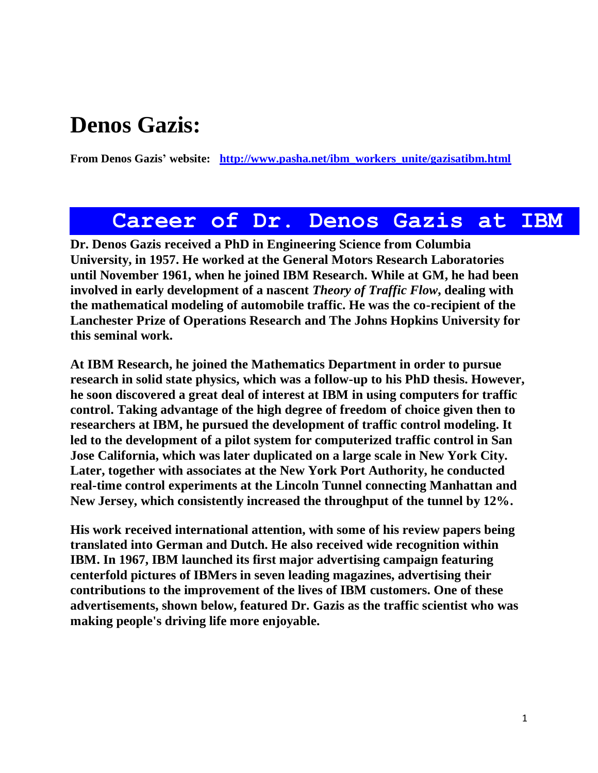### **Denos Gazis:**

**From Denos Gazis' website: [http://www.pasha.net/ibm\\_workers\\_unite/gazisatibm.html](http://www.pasha.net/ibm_workers_unite/gazisatibm.html)**

### **Career of Dr. Denos Gazis at IBM**

**Dr. Denos Gazis received a PhD in Engineering Science from Columbia University, in 1957. He worked at the General Motors Research Laboratories until November 1961, when he joined IBM Research. While at GM, he had been involved in early development of a nascent** *Theory of Traffic Flow***, dealing with the mathematical modeling of automobile traffic. He was the co-recipient of the Lanchester Prize of Operations Research and The Johns Hopkins University for this seminal work.** 

**At IBM Research, he joined the Mathematics Department in order to pursue research in solid state physics, which was a follow-up to his PhD thesis. However, he soon discovered a great deal of interest at IBM in using computers for traffic control. Taking advantage of the high degree of freedom of choice given then to researchers at IBM, he pursued the development of traffic control modeling. It led to the development of a pilot system for computerized traffic control in San Jose California, which was later duplicated on a large scale in New York City. Later, together with associates at the New York Port Authority, he conducted real-time control experiments at the Lincoln Tunnel connecting Manhattan and New Jersey, which consistently increased the throughput of the tunnel by 12%.** 

**His work received international attention, with some of his review papers being translated into German and Dutch. He also received wide recognition within IBM. In 1967, IBM launched its first major advertising campaign featuring centerfold pictures of IBMers in seven leading magazines, advertising their contributions to the improvement of the lives of IBM customers. One of these advertisements, shown below, featured Dr. Gazis as the traffic scientist who was making people's driving life more enjoyable.**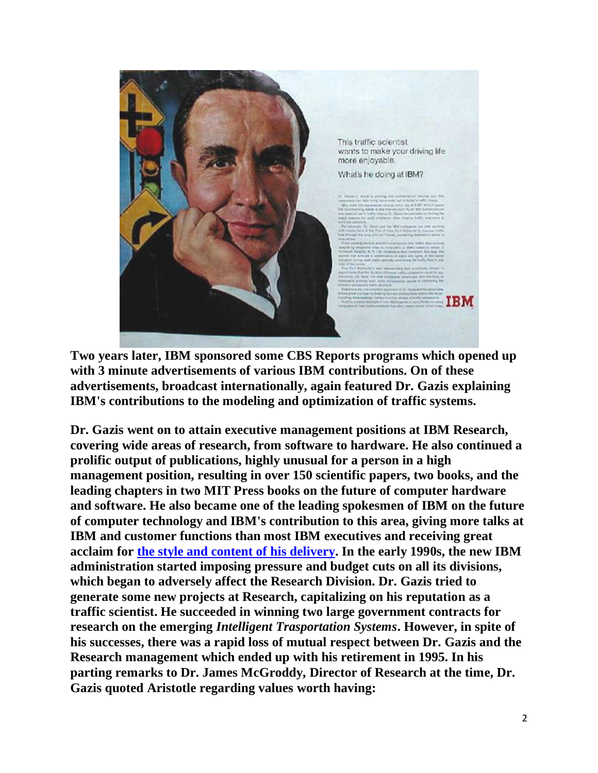

**Two years later, IBM sponsored some CBS Reports programs which opened up with 3 minute advertisements of various IBM contributions. On of these advertisements, broadcast internationally, again featured Dr. Gazis explaining IBM's contributions to the modeling and optimization of traffic systems.** 

**Dr. Gazis went on to attain executive management positions at IBM Research, covering wide areas of research, from software to hardware. He also continued a prolific output of publications, highly unusual for a person in a high management position, resulting in over 150 scientific papers, two books, and the leading chapters in two MIT Press books on the future of computer hardware and software. He also became one of the leading spokesmen of IBM on the future of computer technology and IBM's contribution to this area, giving more talks at IBM and customer functions than most IBM executives and receiving great acclaim for [the style and content of his delivery.](http://www.pasha.net/dgazis.html) In the early 1990s, the new IBM administration started imposing pressure and budget cuts on all its divisions, which began to adversely affect the Research Division. Dr. Gazis tried to generate some new projects at Research, capitalizing on his reputation as a traffic scientist. He succeeded in winning two large government contracts for research on the emerging** *Intelligent Trasportation Systems***. However, in spite of his successes, there was a rapid loss of mutual respect between Dr. Gazis and the Research management which ended up with his retirement in 1995. In his parting remarks to Dr. James McGroddy, Director of Research at the time, Dr. Gazis quoted Aristotle regarding values worth having:**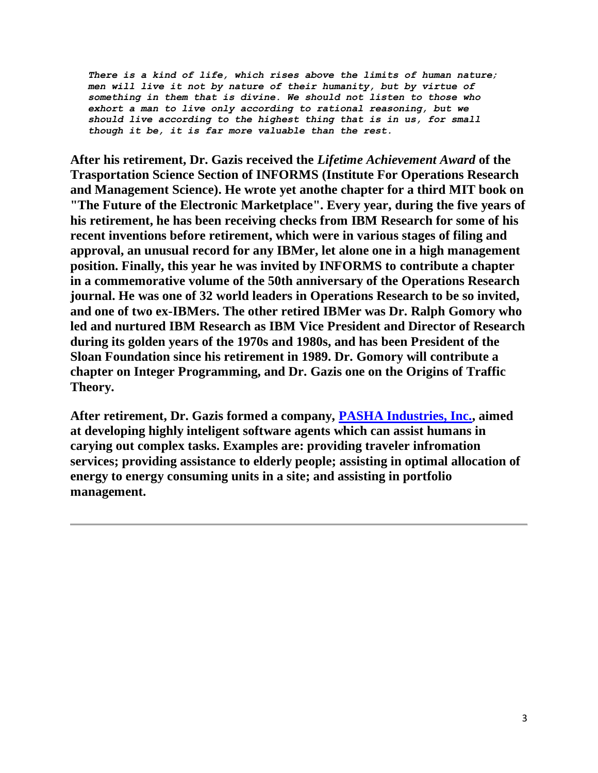*There is a kind of life, which rises above the limits of human nature; men will live it not by nature of their humanity, but by virtue of something in them that is divine. We should not listen to those who exhort a man to live only according to rational reasoning, but we should live according to the highest thing that is in us, for small though it be, it is far more valuable than the rest.*

**After his retirement, Dr. Gazis received the** *Lifetime Achievement Award* **of the Trasportation Science Section of INFORMS (Institute For Operations Research and Management Science). He wrote yet anothe chapter for a third MIT book on "The Future of the Electronic Marketplace". Every year, during the five years of his retirement, he has been receiving checks from IBM Research for some of his recent inventions before retirement, which were in various stages of filing and approval, an unusual record for any IBMer, let alone one in a high management position. Finally, this year he was invited by INFORMS to contribute a chapter in a commemorative volume of the 50th anniversary of the Operations Research journal. He was one of 32 world leaders in Operations Research to be so invited, and one of two ex-IBMers. The other retired IBMer was Dr. Ralph Gomory who led and nurtured IBM Research as IBM Vice President and Director of Research during its golden years of the 1970s and 1980s, and has been President of the Sloan Foundation since his retirement in 1989. Dr. Gomory will contribute a chapter on Integer Programming, and Dr. Gazis one on the Origins of Traffic Theory.** 

**After retirement, Dr. Gazis formed a company, [PASHA Industries, Inc.,](http://www.pasha.net/) aimed at developing highly inteligent software agents which can assist humans in carying out complex tasks. Examples are: providing traveler infromation services; providing assistance to elderly people; assisting in optimal allocation of energy to energy consuming units in a site; and assisting in portfolio management.**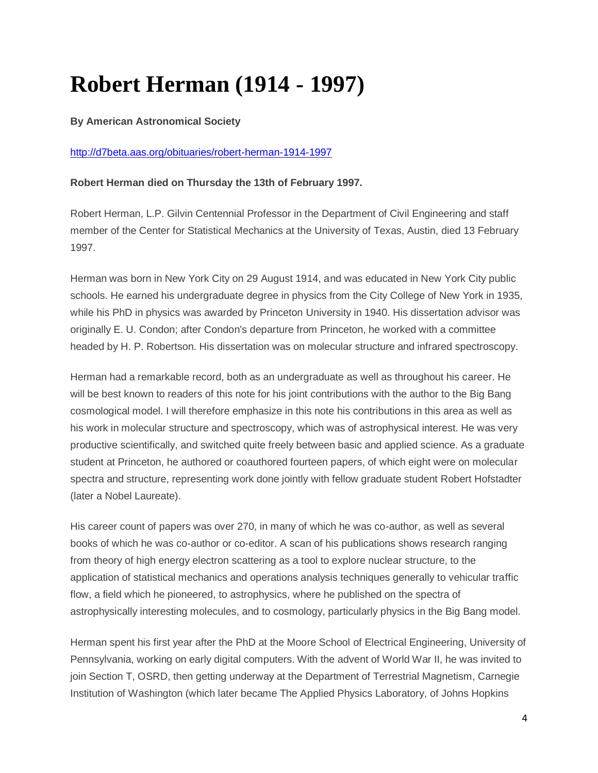# **Robert Herman (1914 - 1997)**

#### **By American Astronomical Society**

#### <http://d7beta.aas.org/obituaries/robert-herman-1914-1997>

#### **Robert Herman died on Thursday the 13th of February 1997.**

Robert Herman, L.P. Gilvin Centennial Professor in the Department of Civil Engineering and staff member of the Center for Statistical Mechanics at the University of Texas, Austin, died 13 February 1997.

Herman was born in New York City on 29 August 1914, and was educated in New York City public schools. He earned his undergraduate degree in physics from the City College of New York in 1935, while his PhD in physics was awarded by Princeton University in 1940. His dissertation advisor was originally E. U. Condon; after Condon's departure from Princeton, he worked with a committee headed by H. P. Robertson. His dissertation was on molecular structure and infrared spectroscopy.

Herman had a remarkable record, both as an undergraduate as well as throughout his career. He will be best known to readers of this note for his joint contributions with the author to the Big Bang cosmological model. I will therefore emphasize in this note his contributions in this area as well as his work in molecular structure and spectroscopy, which was of astrophysical interest. He was very productive scientifically, and switched quite freely between basic and applied science. As a graduate student at Princeton, he authored or coauthored fourteen papers, of which eight were on molecular spectra and structure, representing work done jointly with fellow graduate student Robert Hofstadter (later a Nobel Laureate).

His career count of papers was over 270, in many of which he was co-author, as well as several books of which he was co-author or co-editor. A scan of his publications shows research ranging from theory of high energy electron scattering as a tool to explore nuclear structure, to the application of statistical mechanics and operations analysis techniques generally to vehicular traffic flow, a field which he pioneered, to astrophysics, where he published on the spectra of astrophysically interesting molecules, and to cosmology, particularly physics in the Big Bang model.

Herman spent his first year after the PhD at the Moore School of Electrical Engineering, University of Pennsylvania, working on early digital computers. With the advent of World War II, he was invited to join Section T, OSRD, then getting underway at the Department of Terrestrial Magnetism, Carnegie Institution of Washington (which later became The Applied Physics Laboratory, of Johns Hopkins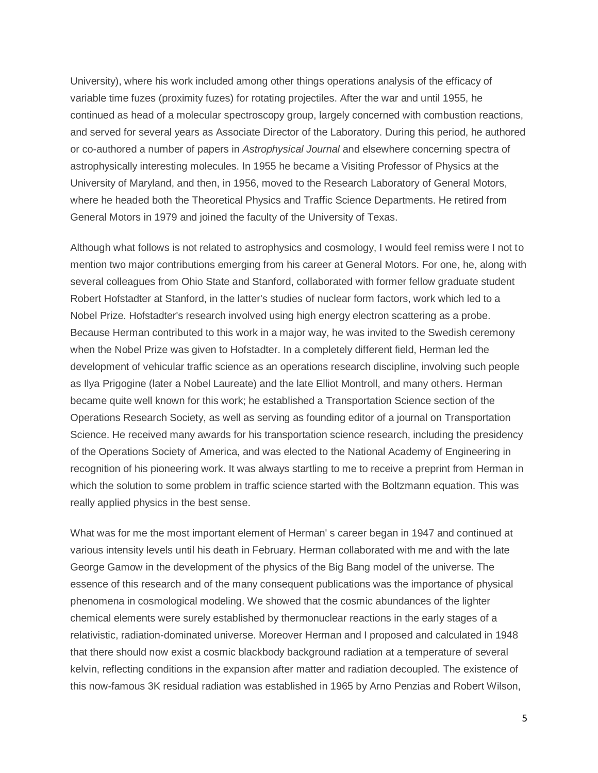University), where his work included among other things operations analysis of the efficacy of variable time fuzes (proximity fuzes) for rotating projectiles. After the war and until 1955, he continued as head of a molecular spectroscopy group, largely concerned with combustion reactions, and served for several years as Associate Director of the Laboratory. During this period, he authored or co-authored a number of papers in *Astrophysical Journal* and elsewhere concerning spectra of astrophysically interesting molecules. In 1955 he became a Visiting Professor of Physics at the University of Maryland, and then, in 1956, moved to the Research Laboratory of General Motors, where he headed both the Theoretical Physics and Traffic Science Departments. He retired from General Motors in 1979 and joined the faculty of the University of Texas.

Although what follows is not related to astrophysics and cosmology, I would feel remiss were I not to mention two major contributions emerging from his career at General Motors. For one, he, along with several colleagues from Ohio State and Stanford, collaborated with former fellow graduate student Robert Hofstadter at Stanford, in the latter's studies of nuclear form factors, work which led to a Nobel Prize. Hofstadter's research involved using high energy electron scattering as a probe. Because Herman contributed to this work in a major way, he was invited to the Swedish ceremony when the Nobel Prize was given to Hofstadter. In a completely different field, Herman led the development of vehicular traffic science as an operations research discipline, involving such people as Ilya Prigogine (later a Nobel Laureate) and the late Elliot Montroll, and many others. Herman became quite well known for this work; he established a Transportation Science section of the Operations Research Society, as well as serving as founding editor of a journal on Transportation Science. He received many awards for his transportation science research, including the presidency of the Operations Society of America, and was elected to the National Academy of Engineering in recognition of his pioneering work. It was always startling to me to receive a preprint from Herman in which the solution to some problem in traffic science started with the Boltzmann equation. This was really applied physics in the best sense.

What was for me the most important element of Herman' s career began in 1947 and continued at various intensity levels until his death in February. Herman collaborated with me and with the late George Gamow in the development of the physics of the Big Bang model of the universe. The essence of this research and of the many consequent publications was the importance of physical phenomena in cosmological modeling. We showed that the cosmic abundances of the lighter chemical elements were surely established by thermonuclear reactions in the early stages of a relativistic, radiation-dominated universe. Moreover Herman and I proposed and calculated in 1948 that there should now exist a cosmic blackbody background radiation at a temperature of several kelvin, reflecting conditions in the expansion after matter and radiation decoupled. The existence of this now-famous 3K residual radiation was established in 1965 by Arno Penzias and Robert Wilson,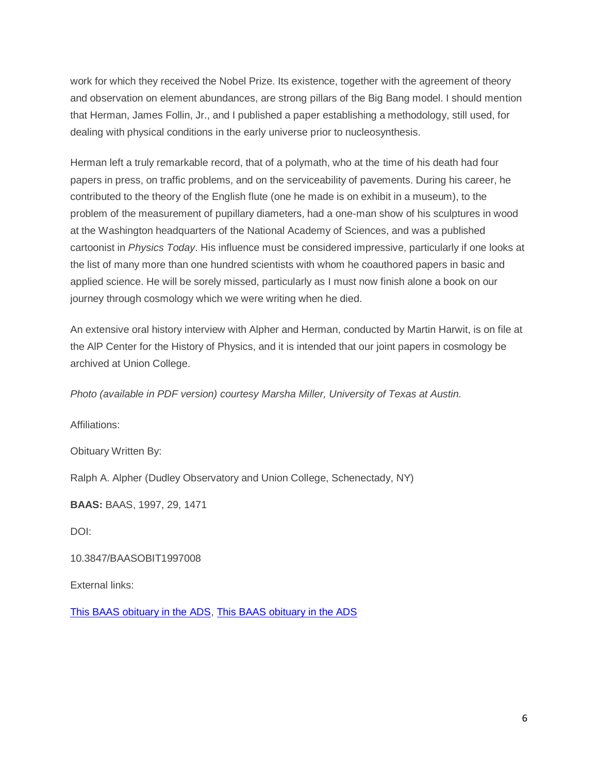work for which they received the Nobel Prize. Its existence, together with the agreement of theory and observation on element abundances, are strong pillars of the Big Bang model. I should mention that Herman, James Follin, Jr., and I published a paper establishing a methodology, still used, for dealing with physical conditions in the early universe prior to nucleosynthesis.

Herman left a truly remarkable record, that of a polymath, who at the time of his death had four papers in press, on traffic problems, and on the serviceability of pavements. During his career, he contributed to the theory of the English flute (one he made is on exhibit in a museum), to the problem of the measurement of pupillary diameters, had a one-man show of his sculptures in wood at the Washington headquarters of the National Academy of Sciences, and was a published cartoonist in *Physics Today*. His influence must be considered impressive, particularly if one looks at the list of many more than one hundred scientists with whom he coauthored papers in basic and applied science. He will be sorely missed, particularly as I must now finish alone a book on our journey through cosmology which we were writing when he died.

An extensive oral history interview with Alpher and Herman, conducted by Martin Harwit, is on file at the AlP Center for the History of Physics, and it is intended that our joint papers in cosmology be archived at Union College.

*Photo (available in PDF version) courtesy Marsha Miller, University of Texas at Austin.*

Affiliations:

Obituary Written By:

Ralph A. Alpher (Dudley Observatory and Union College, Schenectady, NY)

**BAAS:** BAAS, 1997, 29, 1471

DOI:

10.3847/BAASOBIT1997008

External links:

[This BAAS obituary in the ADS,](http://adsabs.harvard.edu/abs/1997BAAS...29.1471A) [This BAAS obituary in the ADS](http://articles.adsabs.harvard.edu/cgi-bin/nph-iarticle_query?1997BAAS___29_1471A=&%3Bdata_type=PDF_HIGH&%3Bwhole_paper=YES&%3Btype=PRINTER&%3Bfiletype=.pdf)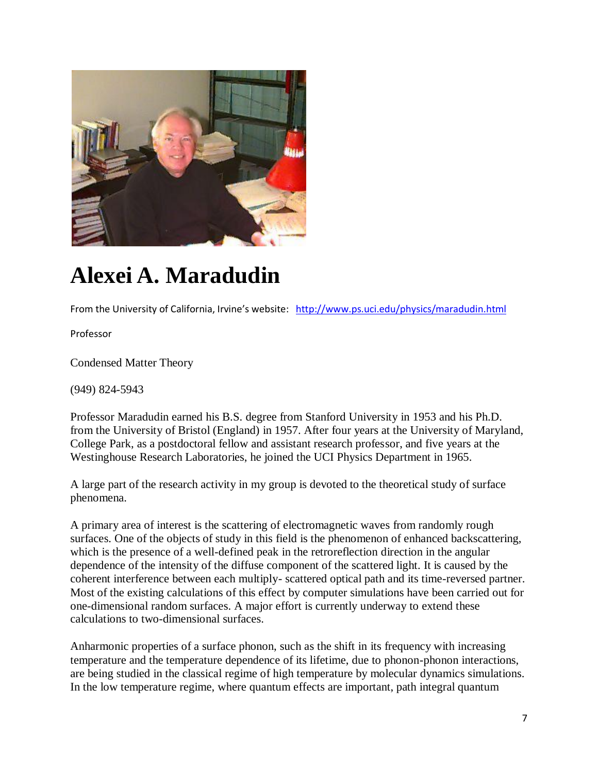

## **Alexei A. Maradudin**

From the University of California, Irvine's website: <http://www.ps.uci.edu/physics/maradudin.html>

Professor

Condensed Matter Theory

(949) 824-5943

Professor Maradudin earned his B.S. degree from Stanford University in 1953 and his Ph.D. from the University of Bristol (England) in 1957. After four years at the University of Maryland, College Park, as a postdoctoral fellow and assistant research professor, and five years at the Westinghouse Research Laboratories, he joined the UCI Physics Department in 1965.

A large part of the research activity in my group is devoted to the theoretical study of surface phenomena.

A primary area of interest is the scattering of electromagnetic waves from randomly rough surfaces. One of the objects of study in this field is the phenomenon of enhanced backscattering, which is the presence of a well-defined peak in the retroreflection direction in the angular dependence of the intensity of the diffuse component of the scattered light. It is caused by the coherent interference between each multiply- scattered optical path and its time-reversed partner. Most of the existing calculations of this effect by computer simulations have been carried out for one-dimensional random surfaces. A major effort is currently underway to extend these calculations to two-dimensional surfaces.

Anharmonic properties of a surface phonon, such as the shift in its frequency with increasing temperature and the temperature dependence of its lifetime, due to phonon-phonon interactions, are being studied in the classical regime of high temperature by molecular dynamics simulations. In the low temperature regime, where quantum effects are important, path integral quantum